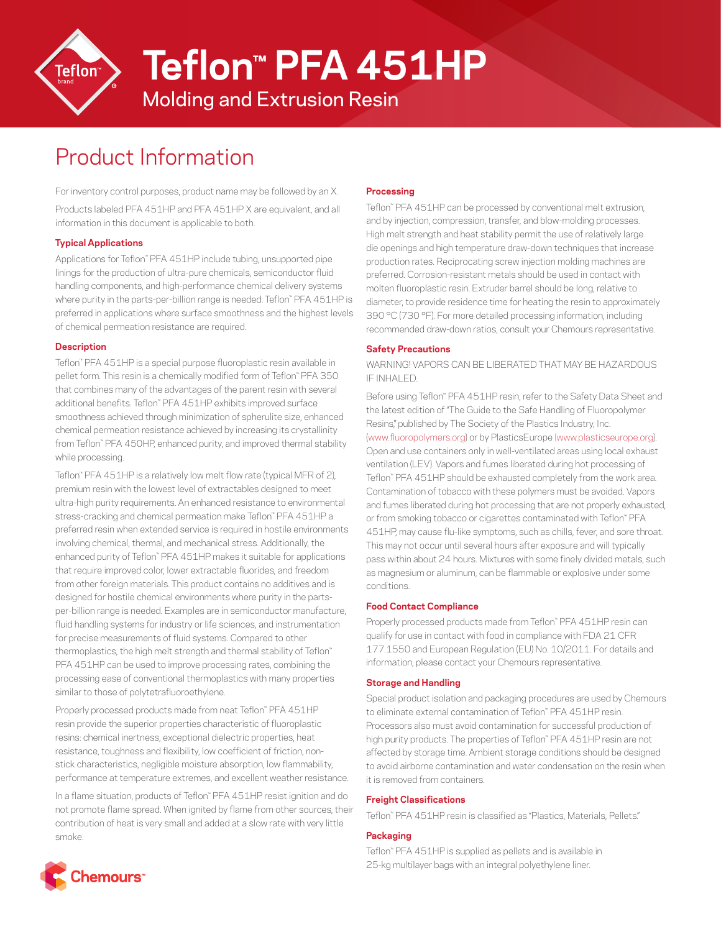

**Teflon™ PFA 451HP**

Molding and Extrusion Resin

# Product Information

For inventory control purposes, product name may be followed by an X. Products labeled PFA 451HP and PFA 451HP X are equivalent, and all information in this document is applicable to both.

## **Typical Applications**

Applications for Teflon™ PFA 451HP include tubing, unsupported pipe linings for the production of ultra-pure chemicals, semiconductor fluid handling components, and high-performance chemical delivery systems where purity in the parts-per-billion range is needed. Teflon™ PFA 451HP is preferred in applications where surface smoothness and the highest levels of chemical permeation resistance are required.

## **Description**

Teflon™ PFA 451HP is a special purpose fluoroplastic resin available in pellet form. This resin is a chemically modified form of Teflon™ PFA 350 that combines many of the advantages of the parent resin with several additional benefits. Teflon™ PFA 451HP exhibits improved surface smoothness achieved through minimization of spherulite size, enhanced chemical permeation resistance achieved by increasing its crystallinity from Teflon™ PFA 450HP, enhanced purity, and improved thermal stability while processing.

Teflon™ PFA 451HP is a relatively low melt flow rate (typical MFR of 2), premium resin with the lowest level of extractables designed to meet ultra-high purity requirements. An enhanced resistance to environmental stress-cracking and chemical permeation make Teflon™ PFA 451HP a preferred resin when extended service is required in hostile environments involving chemical, thermal, and mechanical stress. Additionally, the enhanced purity of Teflon™ PFA 451HP makes it suitable for applications that require improved color, lower extractable fluorides, and freedom from other foreign materials. This product contains no additives and is designed for hostile chemical environments where purity in the partsper-billion range is needed. Examples are in semiconductor manufacture, fluid handling systems for industry or life sciences, and instrumentation for precise measurements of fluid systems. Compared to other thermoplastics, the high melt strength and thermal stability of Teflon™ PFA 451HP can be used to improve processing rates, combining the processing ease of conventional thermoplastics with many properties similar to those of polytetrafluoroethylene.

Properly processed products made from neat Teflon™ PFA 451HP resin provide the superior properties characteristic of fluoroplastic resins: chemical inertness, exceptional dielectric properties, heat resistance, toughness and flexibility, low coefficient of friction, nonstick characteristics, negligible moisture absorption, low flammability, performance at temperature extremes, and excellent weather resistance.

In a flame situation, products of Teflon™ PFA 451HP resist ignition and do not promote flame spread. When ignited by flame from other sources, their contribution of heat is very small and added at a slow rate with very little smoke.

## **Processing**

Teflon™ PFA 451HP can be processed by conventional melt extrusion, and by injection, compression, transfer, and blow-molding processes. High melt strength and heat stability permit the use of relatively large die openings and high temperature draw-down techniques that increase production rates. Reciprocating screw injection molding machines are preferred. Corrosion-resistant metals should be used in contact with molten fluoroplastic resin. Extruder barrel should be long, relative to diameter, to provide residence time for heating the resin to approximately 390 °C (730 °F). For more detailed processing information, including recommended draw-down ratios, consult your Chemours representative.

## **Safety Precautions**

WARNING! VAPORS CAN BE LIBERATED THAT MAY BE HAZARDOUS IF INHALED.

Before using Teflon™ PFA 451HP resin, refer to the Safety Data Sheet and the latest edition of "The Guide to the Safe Handling of Fluoropolymer Resins," published by The Society of the Plastics Industry, Inc. ([www.fluoropolymers.org](http://www.fluoropolymers.org)) or by PlasticsEurope ([www.plasticseurope.org\)](http://www.plasticseurope.org). Open and use containers only in well-ventilated areas using local exhaust ventilation (LEV). Vapors and fumes liberated during hot processing of Teflon™ PFA 451HP should be exhausted completely from the work area. Contamination of tobacco with these polymers must be avoided. Vapors and fumes liberated during hot processing that are not properly exhausted, or from smoking tobacco or cigarettes contaminated with Teflon™ PFA 451HP, may cause flu-like symptoms, such as chills, fever, and sore throat. This may not occur until several hours after exposure and will typically pass within about 24 hours. Mixtures with some finely divided metals, such as magnesium or aluminum, can be flammable or explosive under some conditions.

## **Food Contact Compliance**

Properly processed products made from Teflon™ PFA 451HP resin can qualify for use in contact with food in compliance with FDA 21 CFR 177.1550 and European Regulation (EU) No. 10/2011. For details and information, please contact your Chemours representative.

## **Storage and Handling**

Special product isolation and packaging procedures are used by Chemours to eliminate external contamination of Teflon™ PFA 451HP resin. Processors also must avoid contamination for successful production of high purity products. The properties of Teflon™ PFA 451HP resin are not affected by storage time. Ambient storage conditions should be designed to avoid airborne contamination and water condensation on the resin when it is removed from containers.

#### **Freight Classifications**

Teflon™ PFA 451HP resin is classified as "Plastics, Materials, Pellets."

## **Packaging**

Teflon™ PFA 451HP is supplied as pellets and is available in 25-kg multilayer bags with an integral polyethylene liner.